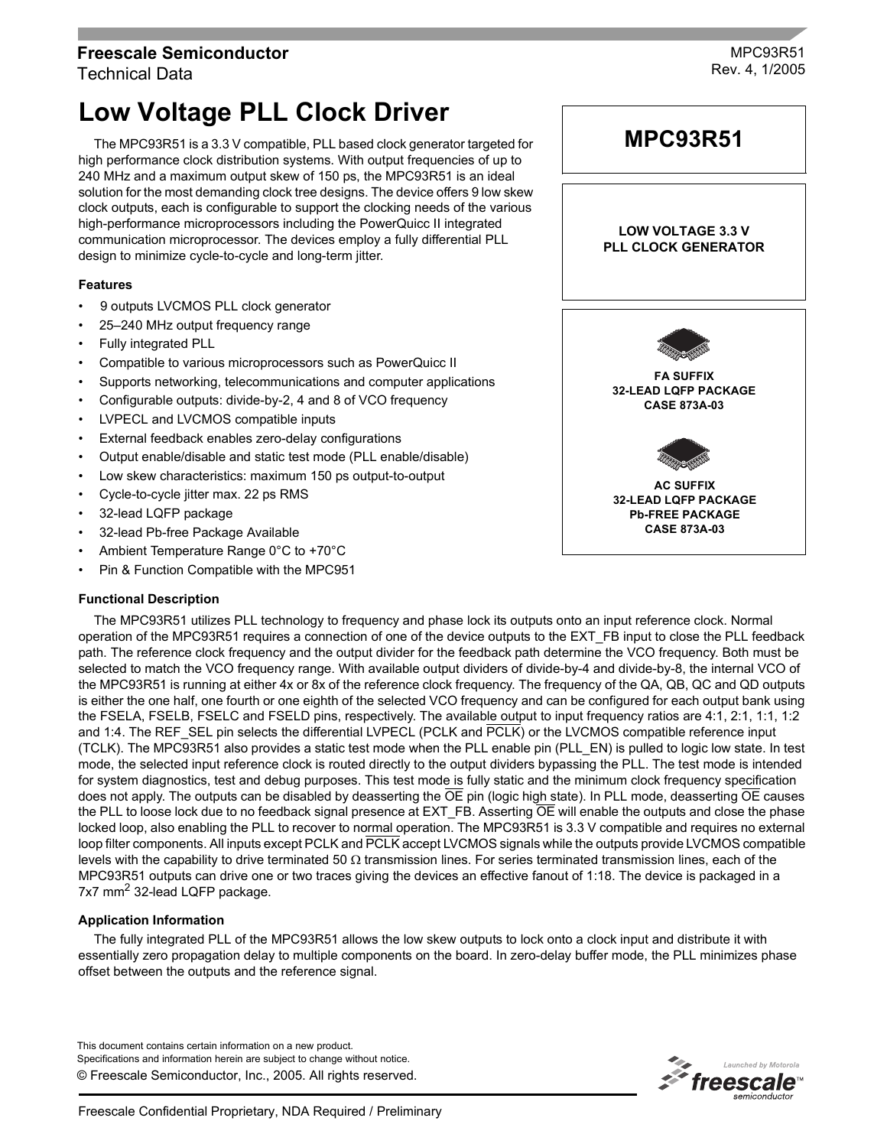# **Freescale Semiconductor** Technical Data

MPC93R51 Rev. 4, 1/2005

# **Low Voltage PLL Clock Driver**

The MPC93R51 is a 3.3 V compatible, PLL based clock generator targeted for high performance clock distribution systems. With output frequencies of up to 240 MHz and a maximum output skew of 150 ps, the MPC93R51 is an ideal solution for the most demanding clock tree designs. The device offers 9 low skew clock outputs, each is configurable to support the clocking needs of the various high-performance microprocessors including the PowerQuicc II integrated communication microprocessor. The devices employ a fully differential PLL design to minimize cycle-to-cycle and long-term jitter.

# **Features**

- 9 outputs LVCMOS PLL clock generator
- 25-240 MHz output frequency range
- Fully integrated PLL
- Compatible to various microprocessors such as PowerQuicc II
- Supports networking, telecommunications and computer applications
- Configurable outputs: divide-by-2, 4 and 8 of VCO frequency
- LVPECL and LVCMOS compatible inputs
- External feedback enables zero-delay configurations
- Output enable/disable and static test mode (PLL enable/disable)
- Low skew characteristics: maximum 150 ps output-to-output
- Cycle-to-cycle jitter max. 22 ps RMS
- 32-lead LQFP package
- 32-lead Pb-free Package Available
- Ambient Temperature Range 0°C to +70°C
- Pin & Function Compatible with the MPC951

#### **Functional Description**

The MPC93R51 utilizes PLL technology to frequency and phase lock its outputs onto an input reference clock. Normal operation of the MPC93R51 requires a connection of one of the device outputs to the EXT\_FB input to close the PLL feedback path. The reference clock frequency and the output divider for the feedback path determine the VCO frequency. Both must be selected to match the VCO frequency range. With available output dividers of divide-by-4 and divide-by-8, the internal VCO of the MPC93R51 is running at either 4x or 8x of the reference clock frequency. The frequency of the QA, QB, QC and QD outputs is either the one half, one fourth or one eighth of the selected VCO frequency and can be configured for each output bank using the FSELA, FSELB, FSELC and FSELD pins, respectively. The available output to input frequency ratios are 4:1, 2:1, 1:1, 1:2 and 1:4. The REF\_SEL pin selects the differential LVPECL (PCLK and PCLK) or the LVCMOS compatible reference input (TCLK). The MPC93R51 also provides a static test mode when the PLL enable pin (PLL\_EN) is pulled to logic low state. In test mode, the selected input reference clock is routed directly to the output dividers bypassing the PLL. The test mode is intended for system diagnostics, test and debug purposes. This test mode is fully static and the minimum clock frequency specification does not apply. The outputs can be disabled by deasserting the  $\overline{OE}$  pin (logic high state). In PLL mode, deasserting  $\overline{OE}$  causes the PLL to loose lock due to no feedback signal presence at  $EXT$ <sup> $F$ B.</sup> Asserting  $\overline{OE}$  will enable the outputs and close the phase locked loop, also enabling the PLL to recover to normal operation. The MPC93R51 is 3.3 V compatible and requires no external loop filter components. All inputs except PCLK and PCLK accept LVCMOS signals while the outputs provide LVCMOS compatible levels with the capability to drive terminated 50  $\Omega$  transmission lines. For series terminated transmission lines, each of the MPC93R51 outputs can drive one or two traces giving the devices an effective fanout of 1:18. The device is packaged in a 7x7 mm<sup>2</sup> 32-lead LQFP package.

# **Application Information**

The fully integrated PLL of the MPC93R51 allows the low skew outputs to lock onto a clock input and distribute it with essentially zero propagation delay to multiple components on the board. In zero-delay buffer mode, the PLL minimizes phase offset between the outputs and the reference signal.

© Freescale Semiconductor, Inc., 2005. All rights reserved. This document contains certain information on a new product. Specifications and information herein are subject to change without notice.





**MPC93R51**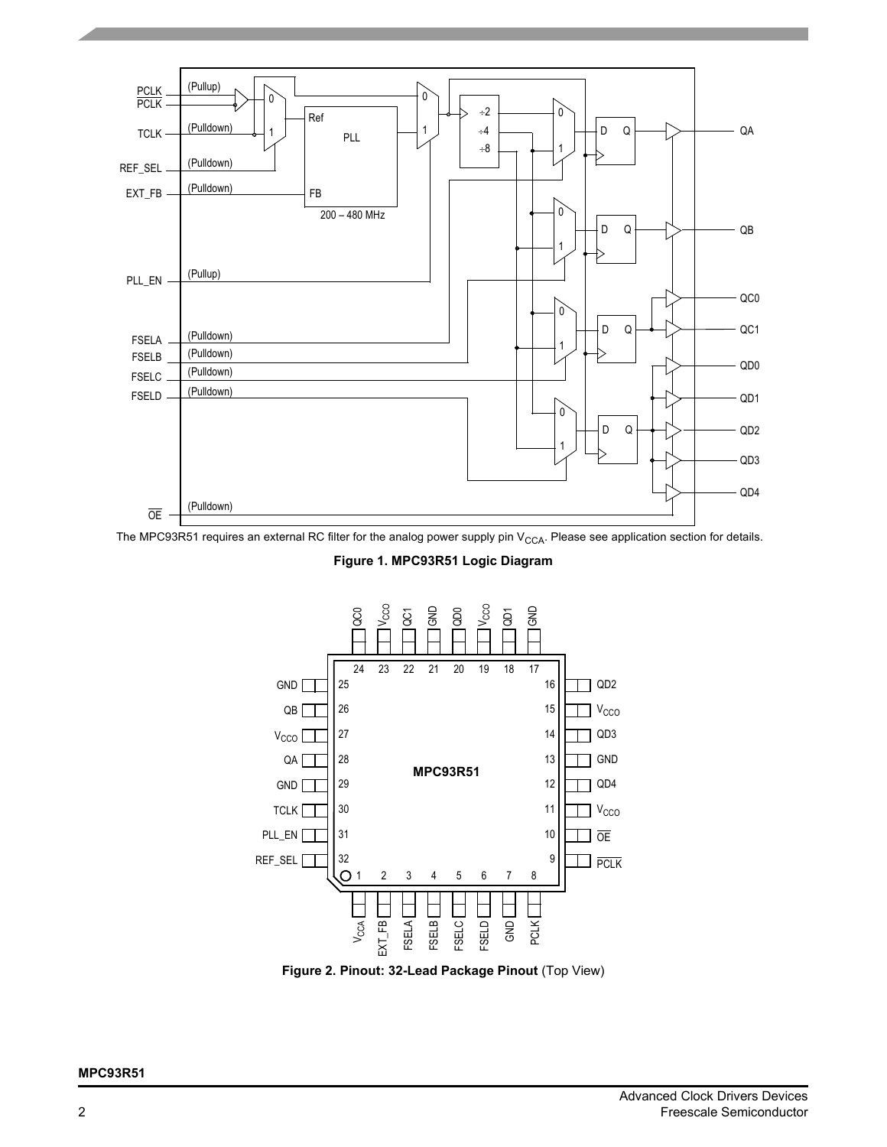

The MPC93R51 requires an external RC filter for the analog power supply pin  $V_{CCA}$ . Please see application section for details.

**Figure 1. MPC93R51 Logic Diagram**



**Figure 2. Pinout: 32-Lead Package Pinout** (Top View)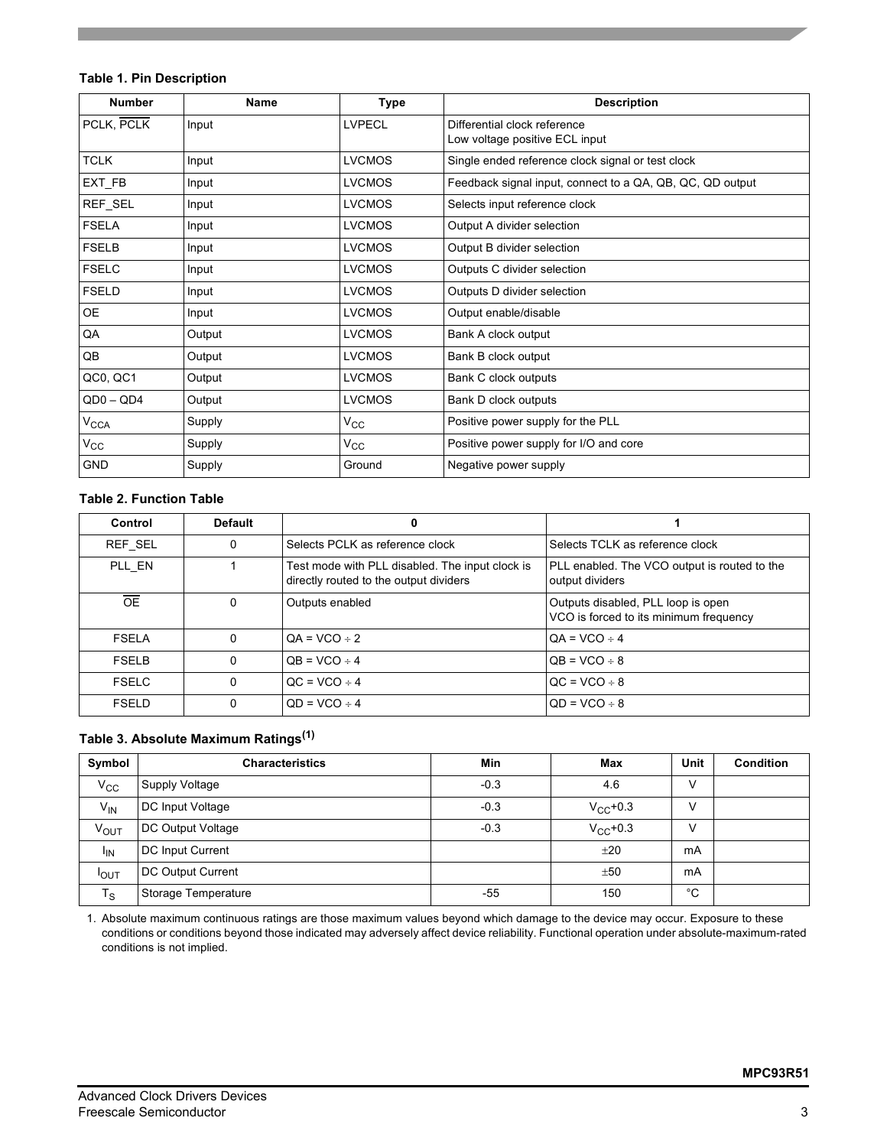# **Table 1. Pin Description**

| <b>Number</b>    | Name   | Type          | <b>Description</b>                                             |
|------------------|--------|---------------|----------------------------------------------------------------|
| PCLK, PCLK       | Input  | <b>LVPECL</b> | Differential clock reference<br>Low voltage positive ECL input |
| <b>TCLK</b>      | Input  | <b>LVCMOS</b> | Single ended reference clock signal or test clock              |
| EXT_FB           | Input  | <b>LVCMOS</b> | Feedback signal input, connect to a QA, QB, QC, QD output      |
| REF_SEL          | Input  | <b>LVCMOS</b> | Selects input reference clock                                  |
| <b>FSELA</b>     | Input  | <b>LVCMOS</b> | Output A divider selection                                     |
| <b>FSELB</b>     | Input  | <b>LVCMOS</b> | Output B divider selection                                     |
| <b>FSELC</b>     | Input  | <b>LVCMOS</b> | Outputs C divider selection                                    |
| <b>FSELD</b>     | Input  | <b>LVCMOS</b> | Outputs D divider selection                                    |
| <b>OE</b>        | Input  | <b>LVCMOS</b> | Output enable/disable                                          |
| QA               | Output | <b>LVCMOS</b> | Bank A clock output                                            |
| QB               | Output | <b>LVCMOS</b> | Bank B clock output                                            |
| QC0, QC1         | Output | <b>LVCMOS</b> | Bank C clock outputs                                           |
| $QD0 - QD4$      | Output | <b>LVCMOS</b> | Bank D clock outputs                                           |
| $V_{\text{CCA}}$ | Supply | $V_{\rm CC}$  | Positive power supply for the PLL                              |
| $V_{\rm CC}$     | Supply | $V_{\rm CC}$  | Positive power supply for I/O and core                         |
| <b>GND</b>       | Supply | Ground        | Negative power supply                                          |

### **Table 2. Function Table**

| Control      | <b>Default</b> | 0                                                                                         |                                                                              |
|--------------|----------------|-------------------------------------------------------------------------------------------|------------------------------------------------------------------------------|
| REF SEL      | 0              | Selects PCLK as reference clock                                                           | Selects TCLK as reference clock                                              |
| PLL EN       |                | Test mode with PLL disabled. The input clock is<br>directly routed to the output dividers | PLL enabled. The VCO output is routed to the<br>output dividers              |
| <b>OE</b>    | 0              | Outputs enabled                                                                           | Outputs disabled, PLL loop is open<br>VCO is forced to its minimum frequency |
| <b>FSELA</b> | $\Omega$       | $OA = VCO \div 2$                                                                         | $OA = VCO \div 4$                                                            |
| <b>FSELB</b> | 0              | $OB = VCO \div 4$                                                                         | $OB = VCO \div 8$                                                            |
| <b>FSELC</b> | $\Omega$       | $OC = VCO \div 4$                                                                         | $QC = VCO \div 8$                                                            |
| <b>FSELD</b> | 0              | $OD = VCO \div 4$                                                                         | $OD = VCO \div 8$                                                            |

# **Table 3. Absolute Maximum Ratings(1)**

| Symbol          | <b>Characteristics</b>  | Min    | Max           | Unit | <b>Condition</b> |
|-----------------|-------------------------|--------|---------------|------|------------------|
| $V_{\rm CC}$    | Supply Voltage          | $-0.3$ | 4.6           |      |                  |
| $V_{IN}$        | DC Input Voltage        | $-0.3$ | $V_{CC}$ +0.3 |      |                  |
| <b>VOUT</b>     | DC Output Voltage       | $-0.3$ | $V_{CC}$ +0.3 |      |                  |
| <sup>I</sup> IN | <b>DC Input Current</b> |        | ±20           | mA   |                  |
| <b>I</b> OUT    | DC Output Current       |        | ±50           | mA   |                  |
| $T_S$           | Storage Temperature     | -55    | 150           | °C   |                  |

1. Absolute maximum continuous ratings are those maximum values beyond which damage to the device may occur. Exposure to these conditions or conditions beyond those indicated may adversely affect device reliability. Functional operation under absolute-maximum-rated conditions is not implied.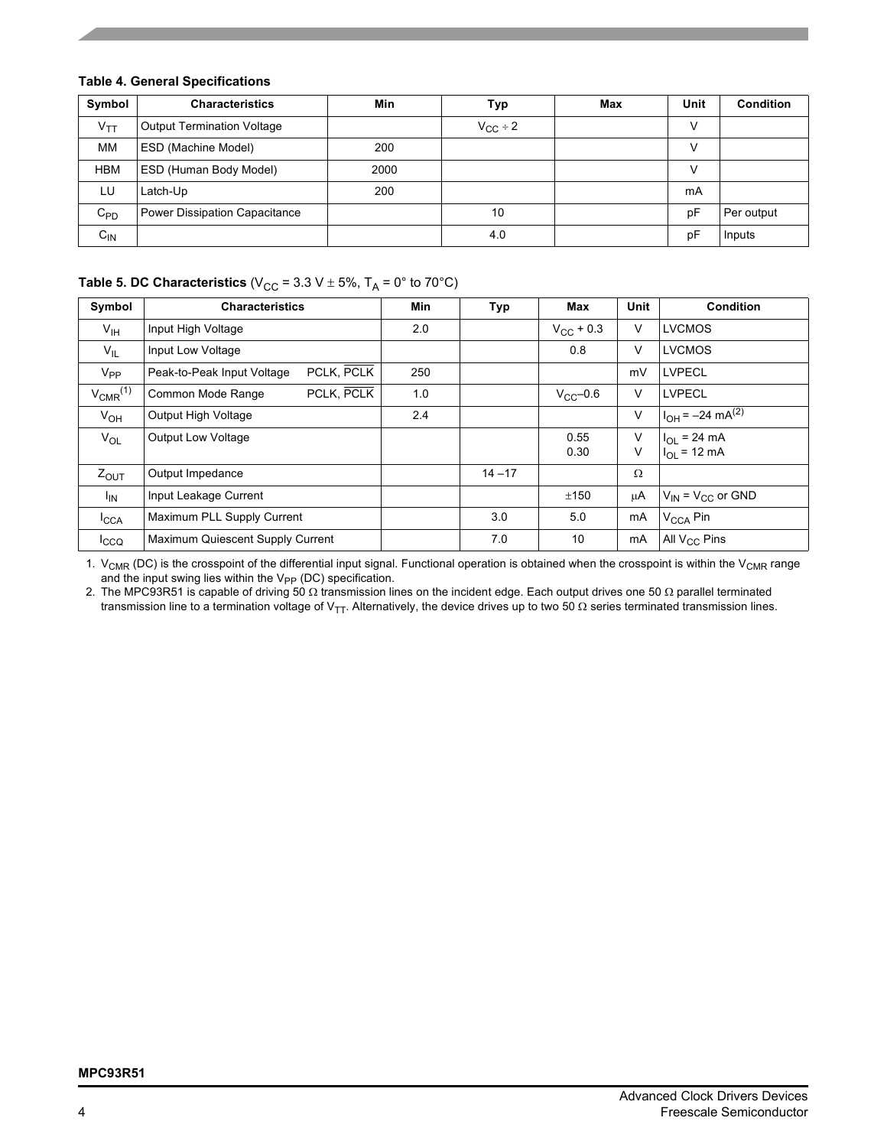# **Table 4. General Specifications**

| Symbol          | <b>Characteristics</b>            | Min  | Typ                 | Max | Unit | <b>Condition</b> |
|-----------------|-----------------------------------|------|---------------------|-----|------|------------------|
| V <sub>TT</sub> | <b>Output Termination Voltage</b> |      | $V_{\text{CC}}$ ÷ 2 |     |      |                  |
| MМ              | ESD (Machine Model)               | 200  |                     |     |      |                  |
| <b>HBM</b>      | ESD (Human Body Model)            | 2000 |                     |     |      |                  |
| LU              | Latch-Up                          | 200  |                     |     | mA   |                  |
| $C_{PD}$        | Power Dissipation Capacitance     |      | 10                  |     | рF   | Per output       |
| $C_{IN}$        |                                   |      | 4.0                 |     | рF   | Inputs           |

# **Table 5. DC Characteristics** (V<sub>CC</sub> = 3.3 V  $\pm$  5%, T<sub>A</sub> = 0° to 70°C)

| Symbol                   | <b>Characteristics</b>                   | <b>Min</b> | Typ       | <b>Max</b>         | <b>Unit</b> | <b>Condition</b>                |
|--------------------------|------------------------------------------|------------|-----------|--------------------|-------------|---------------------------------|
| $V_{\text{IH}}$          | Input High Voltage                       | 2.0        |           | $V_{\rm CC}$ + 0.3 | V           | <b>LVCMOS</b>                   |
| $V_{IL}$                 | Input Low Voltage                        |            |           | 0.8                | v           | <b>LVCMOS</b>                   |
| $V_{PP}$                 | PCLK, PCLK<br>Peak-to-Peak Input Voltage | 250        |           |                    | mV          | <b>LVPECL</b>                   |
| $V_{CMR}$ <sup>(1)</sup> | PCLK, PCLK<br>Common Mode Range          | 1.0        |           | $V_{CC}$ -0.6      | v           | <b>LVPECL</b>                   |
| $V_{OH}$                 | Output High Voltage                      | 2.4        |           |                    | V           | $I_{OH} = -24 \text{ mA}^{(2)}$ |
| $V_{OL}$                 | <b>Output Low Voltage</b>                |            |           | 0.55               | v           | $I_{OL}$ = 24 mA                |
|                          |                                          |            |           | 0.30               | v           | $I_{OL}$ = 12 mA                |
| $Z_{OUT}$                | Output Impedance                         |            | $14 - 17$ |                    | Ω           |                                 |
| $I_{IN}$                 | Input Leakage Current                    |            |           | ±150               | μA          | $V_{IN}$ = $V_{CC}$ or GND      |
| <b>I</b> CCA             | Maximum PLL Supply Current               |            | 3.0       | 5.0                | mA          | V <sub>CCA</sub> Pin            |
| $I_{CCQ}$                | Maximum Quiescent Supply Current         |            | 7.0       | 10                 | mA          | All V <sub>CC</sub> Pins        |

1.  $V_{CMR}$  (DC) is the crosspoint of the differential input signal. Functional operation is obtained when the crosspoint is within the  $V_{CMR}$  range and the input swing lies within the  $V_{PP}$  (DC) specification.

2. The MPC93R51 is capable of driving 50 Ω transmission lines on the incident edge. Each output drives one 50 Ω parallel terminated transmission line to a termination voltage of V<sub>TT</sub>. Alternatively, the device drives up to two 50 Ω series terminated transmission lines.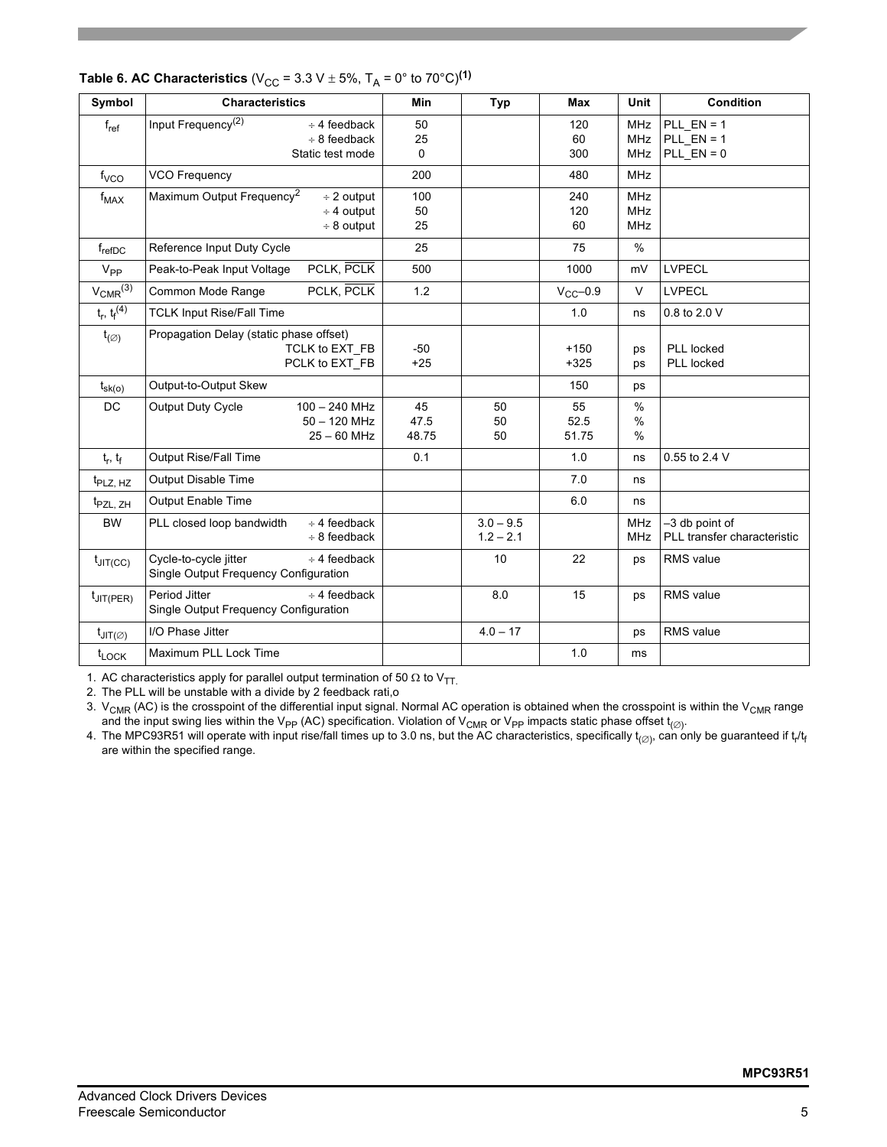| Symbol                   | <b>Characteristics</b>                                                                         | Min                  | <b>Typ</b>                 | Max                 | Unit                                   | <b>Condition</b>                               |
|--------------------------|------------------------------------------------------------------------------------------------|----------------------|----------------------------|---------------------|----------------------------------------|------------------------------------------------|
| $f_{ref}$                | Input Frequency <sup>(2)</sup><br>$\div$ 4 feedback<br>$\div$ 8 feedback<br>Static test mode   | 50<br>25<br>$\Omega$ |                            | 120<br>60<br>300    | <b>MHz</b><br><b>MHz</b><br><b>MHz</b> | PLL $EN = 1$<br>PLL $EN = 1$<br>$PLL$ $EN = 0$ |
| f <sub>VCO</sub>         | <b>VCO Frequency</b>                                                                           | 200                  |                            | 480                 | <b>MHz</b>                             |                                                |
| $f_{MAX}$                | Maximum Output Frequency <sup>2</sup><br>$\div$ 2 output<br>$\div$ 4 output<br>$\div$ 8 output | 100<br>50<br>25      |                            | 240<br>120<br>60    | <b>MHz</b><br><b>MHz</b><br><b>MHz</b> |                                                |
| $f_{refDC}$              | Reference Input Duty Cycle                                                                     | 25                   |                            | 75                  | $\%$                                   |                                                |
| $V_{PP}$                 | PCLK, PCLK<br>Peak-to-Peak Input Voltage                                                       | 500                  |                            | 1000                | mV                                     | <b>LVPECL</b>                                  |
| $V_{CMR}$ <sup>(3)</sup> | PCLK, PCLK<br>Common Mode Range                                                                | 1.2                  |                            | $V_{CC}$ -0.9       | $\vee$                                 | <b>LVPECL</b>                                  |
| $t_r, t_f^{(4)}$         | <b>TCLK Input Rise/Fall Time</b>                                                               |                      |                            | 1.0                 | ns                                     | 0.8 to 2.0 V                                   |
| $t_{(\varnothing)}$      | Propagation Delay (static phase offset)<br>TCLK to EXT FB<br>PCLK to EXT_FB                    | $-50$<br>$+25$       |                            | $+150$<br>$+325$    | ps<br>ps                               | PLL locked<br>PLL locked                       |
| $t_{\rm sk(o)}$          | Output-to-Output Skew                                                                          |                      |                            | 150                 | ps                                     |                                                |
| <b>DC</b>                | <b>Output Duty Cycle</b><br>$100 - 240$ MHz<br>$50 - 120$ MHz<br>$25 - 60$ MHz                 | 45<br>47.5<br>48.75  | 50<br>50<br>50             | 55<br>52.5<br>51.75 | $\frac{0}{0}$<br>$\%$<br>$\frac{0}{0}$ |                                                |
| $t_r$ , $t_f$            | Output Rise/Fall Time                                                                          | 0.1                  |                            | 1.0                 | ns                                     | 0.55 to 2.4 V                                  |
| t <sub>PLZ, HZ</sub>     | Output Disable Time                                                                            |                      |                            | 7.0                 | ns                                     |                                                |
| t <sub>PZL, ZH</sub>     | <b>Output Enable Time</b>                                                                      |                      |                            | 6.0                 | ns                                     |                                                |
| <b>BW</b>                | PLL closed loop bandwidth<br>$\div$ 4 feedback<br>$\div$ 8 feedback                            |                      | $3.0 - 9.5$<br>$1.2 - 2.1$ |                     | <b>MHz</b><br><b>MHz</b>               | -3 db point of<br>PLL transfer characteristic  |
| $t_{JIT(CC)}$            | Cycle-to-cycle jitter<br>$\div$ 4 feedback<br>Single Output Frequency Configuration            |                      | 10                         | 22                  | ps                                     | <b>RMS</b> value                               |
| $t_{\text{JIT(PER)}}$    | Period Jitter<br>$\div$ 4 feedback<br>Single Output Frequency Configuration                    |                      | 8.0                        | 15                  | ps                                     | RMS value                                      |
| $t_{JIT(\varnothing)}$   | I/O Phase Jitter                                                                               |                      | $4.0 - 17$                 |                     | ps                                     | <b>RMS</b> value                               |
| $t_{\text{LOCK}}$        | Maximum PLL Lock Time                                                                          |                      |                            | 1.0                 | ms                                     |                                                |

# **Table 6. AC Characteristics** ( $V_{CC}$  = 3.3 V  $\pm$  5%, T<sub>A</sub> = 0° to 70°C)<sup>(1)</sup>

1. AC characteristics apply for parallel output termination of 50  $\Omega$  to V<sub>TT.</sub>

2. The PLL will be unstable with a divide by 2 feedback rati,o

3.  $V_{CMR}$  (AC) is the crosspoint of the differential input signal. Normal AC operation is obtained when the crosspoint is within the V<sub>CMR</sub> range and the input swing lies within the V<sub>PP</sub> (AC) specification. Violation of V<sub>CMR</sub> or V<sub>PP</sub> impacts static phase offset t<sub>(∅)</sub>.

4. The MPC93R51 will operate with input rise/fall times up to 3.0 ns, but the AC characteristics, specifically t $_{(\varnothing)}$ , can only be guaranteed if t<sub>r</sub>/t<sub>f</sub> are within the specified range.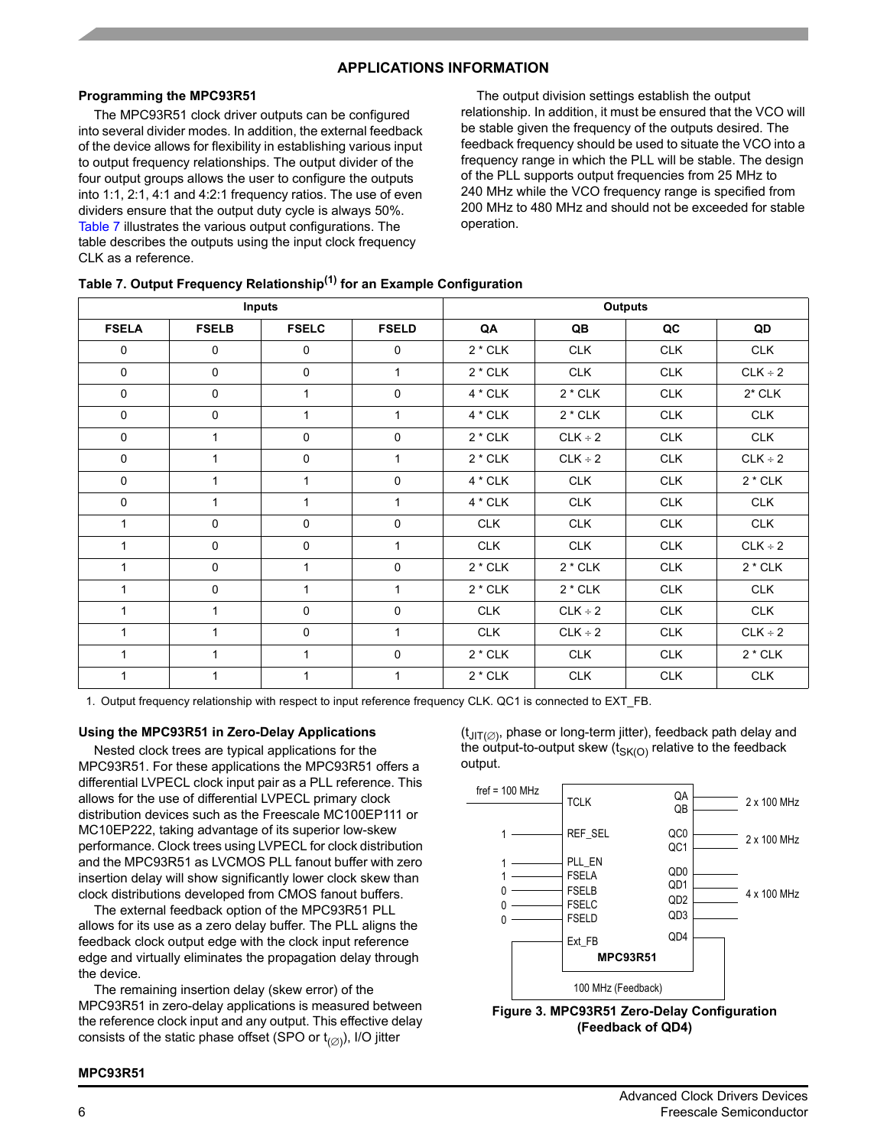# **APPLICATIONS INFORMATION**

# **Programming the MPC93R51**

The MPC93R51 clock driver outputs can be configured into several divider modes. In addition, the external feedback of the device allows for flexibility in establishing various input to output frequency relationships. The output divider of the four output groups allows the user to configure the outputs into 1:1, 2:1, 4:1 and 4:2:1 frequency ratios. The use of even dividers ensure that the output duty cycle is always 50%. [Table 7](#page-5-0) illustrates the various output configurations. The table describes the outputs using the input clock frequency CLK as a reference.

The output division settings establish the output relationship. In addition, it must be ensured that the VCO will be stable given the frequency of the outputs desired. The feedback frequency should be used to situate the VCO into a frequency range in which the PLL will be stable. The design of the PLL supports output frequencies from 25 MHz to 240 MHz while the VCO frequency range is specified from 200 MHz to 480 MHz and should not be exceeded for stable operation.

<span id="page-5-0"></span>

|  | Table 7. Output Frequency Relationship <sup>(1)</sup> for an Example Configuration |  |  |
|--|------------------------------------------------------------------------------------|--|--|
|  |                                                                                    |  |  |

|              |              | <b>Inputs</b> |              |            | <b>Outputs</b> |            |              |
|--------------|--------------|---------------|--------------|------------|----------------|------------|--------------|
| <b>FSELA</b> | <b>FSELB</b> | <b>FSELC</b>  | <b>FSELD</b> | QA         | QB             | QC         | QD           |
| $\mathbf 0$  | 0            | $\mathbf 0$   | $\mathbf 0$  | $2 * CLK$  | <b>CLK</b>     | <b>CLK</b> | <b>CLK</b>   |
| $\mathbf 0$  | 0            | $\mathbf 0$   | $\mathbf{1}$ | $2 * CLK$  | <b>CLK</b>     | <b>CLK</b> | $CLK \div 2$ |
| $\mathbf 0$  | $\mathbf 0$  | 1             | $\mathbf 0$  | 4 * CLK    | $2 * CLK$      | <b>CLK</b> | $2*$ CLK     |
| 0            | 0            | 1             | 1            | 4 * CLK    | $2 * CLK$      | <b>CLK</b> | <b>CLK</b>   |
| 0            | 1            | $\mathbf 0$   | 0            | $2 * CLK$  | $CLK \div 2$   | <b>CLK</b> | <b>CLK</b>   |
| $\mathbf 0$  | 1            | $\mathbf 0$   | $\mathbf{1}$ | $2 * CLK$  | $CLK \div 2$   | <b>CLK</b> | $CLK \div 2$ |
| 0            | 1            | 1             | 0            | $4 * CLK$  | <b>CLK</b>     | <b>CLK</b> | $2 * CLK$    |
| 0            | $\mathbf{1}$ | 1             | $\mathbf{1}$ | 4 * CLK    | <b>CLK</b>     | <b>CLK</b> | <b>CLK</b>   |
| $\mathbf{1}$ | 0            | $\mathbf 0$   | 0            | <b>CLK</b> | <b>CLK</b>     | <b>CLK</b> | <b>CLK</b>   |
| $\mathbf{1}$ | $\Omega$     | $\Omega$      | $\mathbf{1}$ | <b>CLK</b> | <b>CLK</b>     | <b>CLK</b> | $CLK \div 2$ |
| $\mathbf{1}$ | $\mathbf 0$  | $\mathbf{1}$  | $\mathbf 0$  | $2 * CLK$  | $2 * CLK$      | <b>CLK</b> | $2 * CLK$    |
| $\mathbf{1}$ | $\mathbf 0$  | 1             | $\mathbf{1}$ | $2 * CLK$  | $2 * CLK$      | <b>CLK</b> | <b>CLK</b>   |
| $\mathbf{1}$ | 1            | $\mathbf 0$   | $\mathbf 0$  | <b>CLK</b> | $CLK \div 2$   | <b>CLK</b> | <b>CLK</b>   |
| $\mathbf{1}$ |              | $\mathbf 0$   | $\mathbf{1}$ | <b>CLK</b> | $CLK \div 2$   | <b>CLK</b> | $CLK \div 2$ |
| $\mathbf{1}$ | 1            | 1             | 0            | $2 * CLK$  | <b>CLK</b>     | <b>CLK</b> | $2 * CLK$    |
| $\mathbf{1}$ | 1            | 1             | $\mathbf{1}$ | $2 * CLK$  | <b>CLK</b>     | <b>CLK</b> | <b>CLK</b>   |

1. Output frequency relationship with respect to input reference frequency CLK. QC1 is connected to EXT\_FB.

#### **Using the MPC93R51 in Zero-Delay Applications**

Nested clock trees are typical applications for the MPC93R51. For these applications the MPC93R51 offers a differential LVPECL clock input pair as a PLL reference. This allows for the use of differential LVPECL primary clock distribution devices such as the Freescale MC100EP111 or MC10EP222, taking advantage of its superior low-skew performance. Clock trees using LVPECL for clock distribution and the MPC93R51 as LVCMOS PLL fanout buffer with zero insertion delay will show significantly lower clock skew than clock distributions developed from CMOS fanout buffers.

The external feedback option of the MPC93R51 PLL allows for its use as a zero delay buffer. The PLL aligns the feedback clock output edge with the clock input reference edge and virtually eliminates the propagation delay through the device.

The remaining insertion delay (skew error) of the MPC93R51 in zero-delay applications is measured between the reference clock input and any output. This effective delay consists of the static phase offset (SPO or  $t_{(\emptyset)}$ ), I/O jitter

 $(t_{\text{JIT}(\emptyset)}$ , phase or long-term jitter), feedback path delay and the output-to-output skew ( $t_{SK(O)}$  relative to the feedback output.



**(Feedback of QD4)**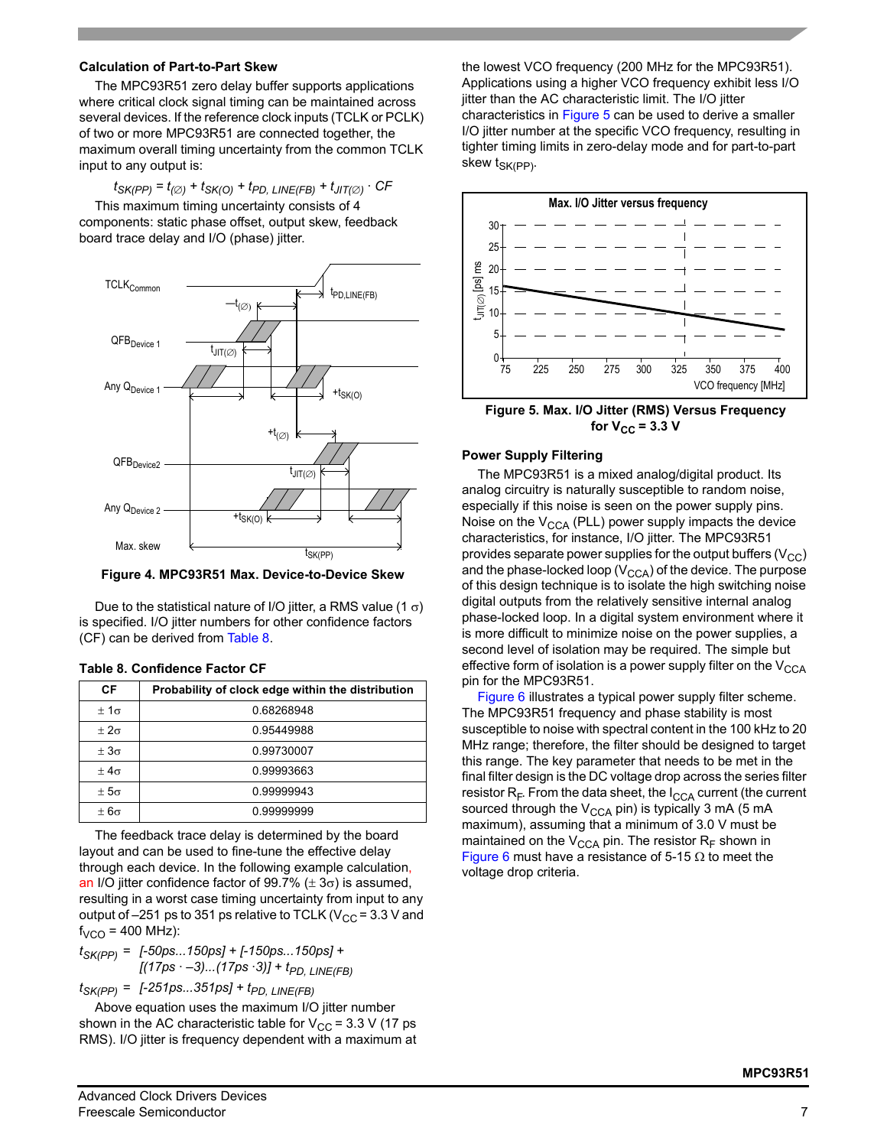#### **Calculation of Part-to-Part Skew**

The MPC93R51 zero delay buffer supports applications where critical clock signal timing can be maintained across several devices. If the reference clock inputs (TCLK or PCLK) of two or more MPC93R51 are connected together, the maximum overall timing uncertainty from the common TCLK input to any output is:

 $t_{SK(PP)} = t_{(Ø)} + t_{SK(O)} + t_{PD}$ , LINE(FB) +  $t_{JIT(Ø)}$  · CF

This maximum timing uncertainty consists of 4 components: static phase offset, output skew, feedback board trace delay and I/O (phase) jitter.



**Figure 4. MPC93R51 Max. Device-to-Device Skew**

Due to the statistical nature of I/O jitter, a RMS value (1  $\sigma$ ) is specified. I/O jitter numbers for other confidence factors (CF) can be derived from [Table 8](#page-6-0).

<span id="page-6-0"></span>

|  |  | Table 8. Confidence Factor CF |  |  |
|--|--|-------------------------------|--|--|
|--|--|-------------------------------|--|--|

| СF            | Probability of clock edge within the distribution |
|---------------|---------------------------------------------------|
| $\pm 1\sigma$ | 0.68268948                                        |
| $+2\sigma$    | 0.95449988                                        |
| $\pm 3\sigma$ | 0.99730007                                        |
| $+4\sigma$    | 0.99993663                                        |
| $\pm 5\sigma$ | 0.99999943                                        |
| $\pm 6\sigma$ | 0.99999999                                        |

The feedback trace delay is determined by the board layout and can be used to fine-tune the effective delay through each device. In the following example calculation, an I/O jitter confidence factor of 99.7%  $(\pm 3\sigma)$  is assumed, resulting in a worst case timing uncertainty from input to any output of  $-251$  ps to 351 ps relative to TCLK (V<sub>CC</sub> = 3.3 V and  $f_{VCO}$  = 400 MHz):

$$
t_{SK(PP)} = [-50ps...150ps] + [-150ps...150ps] +
$$
  
[(17ps -3)...(17ps 3)] + t<sub>PD, LINE(FB)</sub>

 $t_{SK(PP)} = [-251ps...351ps] + t_{PD, LINE(FB)}$ 

Above equation uses the maximum I/O jitter number shown in the AC characteristic table for  $V_{CC}$  = 3.3 V (17 ps RMS). I/O jitter is frequency dependent with a maximum at the lowest VCO frequency (200 MHz for the MPC93R51). Applications using a higher VCO frequency exhibit less I/O jitter than the AC characteristic limit. The I/O jitter characteristics in [Figure 5](#page-6-1) can be used to derive a smaller I/O jitter number at the specific VCO frequency, resulting in tighter timing limits in zero-delay mode and for part-to-part skew  $t_{SK(PP)}$ .



<span id="page-6-1"></span>**Figure 5. Max. I/O Jitter (RMS) Versus Frequency for**  $V_{CC}$  **= 3.3 V** 

### **Power Supply Filtering**

The MPC93R51 is a mixed analog/digital product. Its analog circuitry is naturally susceptible to random noise, especially if this noise is seen on the power supply pins. Noise on the  $V_{CCA}$  (PLL) power supply impacts the device characteristics, for instance, I/O jitter. The MPC93R51 provides separate power supplies for the output buffers  $(V_{CC})$ and the phase-locked loop ( $V_{\text{CCA}}$ ) of the device. The purpose of this design technique is to isolate the high switching noise digital outputs from the relatively sensitive internal analog phase-locked loop. In a digital system environment where it is more difficult to minimize noise on the power supplies, a second level of isolation may be required. The simple but effective form of isolation is a power supply filter on the  $V_{\text{CCA}}$ pin for the MPC93R51.

[Figure 6](#page-7-0) illustrates a typical power supply filter scheme. The MPC93R51 frequency and phase stability is most susceptible to noise with spectral content in the 100 kHz to 20 MHz range; therefore, the filter should be designed to target this range. The key parameter that needs to be met in the final filter design is the DC voltage drop across the series filter resistor  $R_F$ . From the data sheet, the  $I_{CCA}$  current (the current sourced through the  $V_{\text{CCA}}$  pin) is typically 3 mA (5 mA maximum), assuming that a minimum of 3.0 V must be maintained on the  $V_{CCA}$  pin. The resistor  $R_F$  shown in [Figure 6](#page-7-0) must have a resistance of 5-15  $\Omega$  to meet the voltage drop criteria.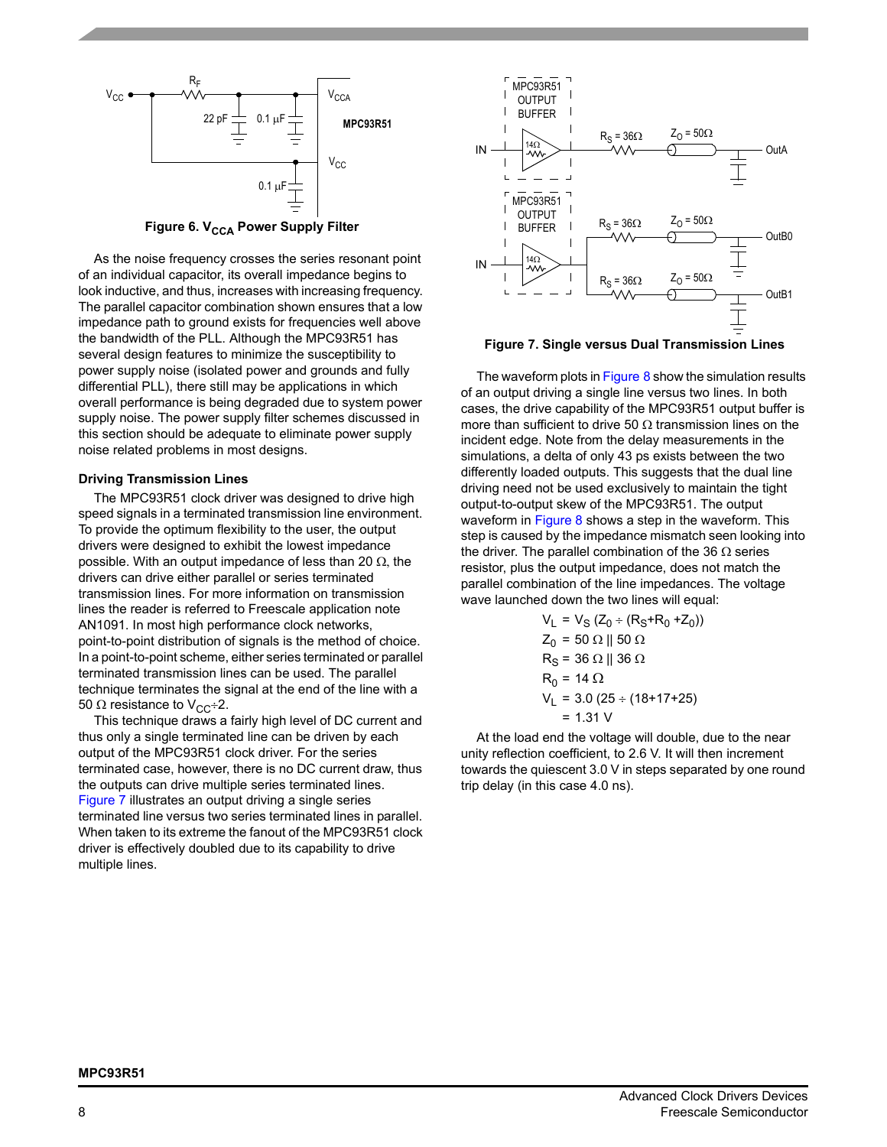

**Figure 6. V<sub>CCA</sub> Power Supply Filter** 

<span id="page-7-0"></span>As the noise frequency crosses the series resonant point of an individual capacitor, its overall impedance begins to look inductive, and thus, increases with increasing frequency. The parallel capacitor combination shown ensures that a low impedance path to ground exists for frequencies well above the bandwidth of the PLL. Although the MPC93R51 has several design features to minimize the susceptibility to power supply noise (isolated power and grounds and fully differential PLL), there still may be applications in which overall performance is being degraded due to system power supply noise. The power supply filter schemes discussed in this section should be adequate to eliminate power supply noise related problems in most designs.

#### **Driving Transmission Lines**

The MPC93R51 clock driver was designed to drive high speed signals in a terminated transmission line environment. To provide the optimum flexibility to the user, the output drivers were designed to exhibit the lowest impedance possible. With an output impedance of less than 20  $\Omega$ , the drivers can drive either parallel or series terminated transmission lines. For more information on transmission lines the reader is referred to Freescale application note AN1091. In most high performance clock networks, point-to-point distribution of signals is the method of choice. In a point-to-point scheme, either series terminated or parallel terminated transmission lines can be used. The parallel technique terminates the signal at the end of the line with a 50  $\Omega$  resistance to V<sub>CC</sub>÷2.

This technique draws a fairly high level of DC current and thus only a single terminated line can be driven by each output of the MPC93R51 clock driver. For the series terminated case, however, there is no DC current draw, thus the outputs can drive multiple series terminated lines. [Figure 7](#page-7-1) illustrates an output driving a single series terminated line versus two series terminated lines in parallel. When taken to its extreme the fanout of the MPC93R51 clock driver is effectively doubled due to its capability to drive multiple lines.



<span id="page-7-1"></span>

The waveform plots in [Figure 8](#page-8-0) show the simulation results of an output driving a single line versus two lines. In both cases, the drive capability of the MPC93R51 output buffer is more than sufficient to drive 50  $\Omega$  transmission lines on the incident edge. Note from the delay measurements in the simulations, a delta of only 43 ps exists between the two differently loaded outputs. This suggests that the dual line driving need not be used exclusively to maintain the tight output-to-output skew of the MPC93R51. The output waveform in [Figure 8](#page-8-0) shows a step in the waveform. This step is caused by the impedance mismatch seen looking into the driver. The parallel combination of the 36  $\Omega$  series resistor, plus the output impedance, does not match the parallel combination of the line impedances. The voltage wave launched down the two lines will equal:

$$
VL = VS (Z0 ÷ (RS+R0+Z0))
$$
  
Z<sub>0</sub> = 50 Ω || 50 Ω  
R<sub>S</sub> = 36 Ω || 36 Ω  
R<sub>0</sub> = 14 Ω  
N<sub>L</sub> = 3.0 (25 ÷ (18+17+25)  
= 1.31 V

At the load end the voltage will double, due to the near unity reflection coefficient, to 2.6 V. It will then increment towards the quiescent 3.0 V in steps separated by one round trip delay (in this case 4.0 ns).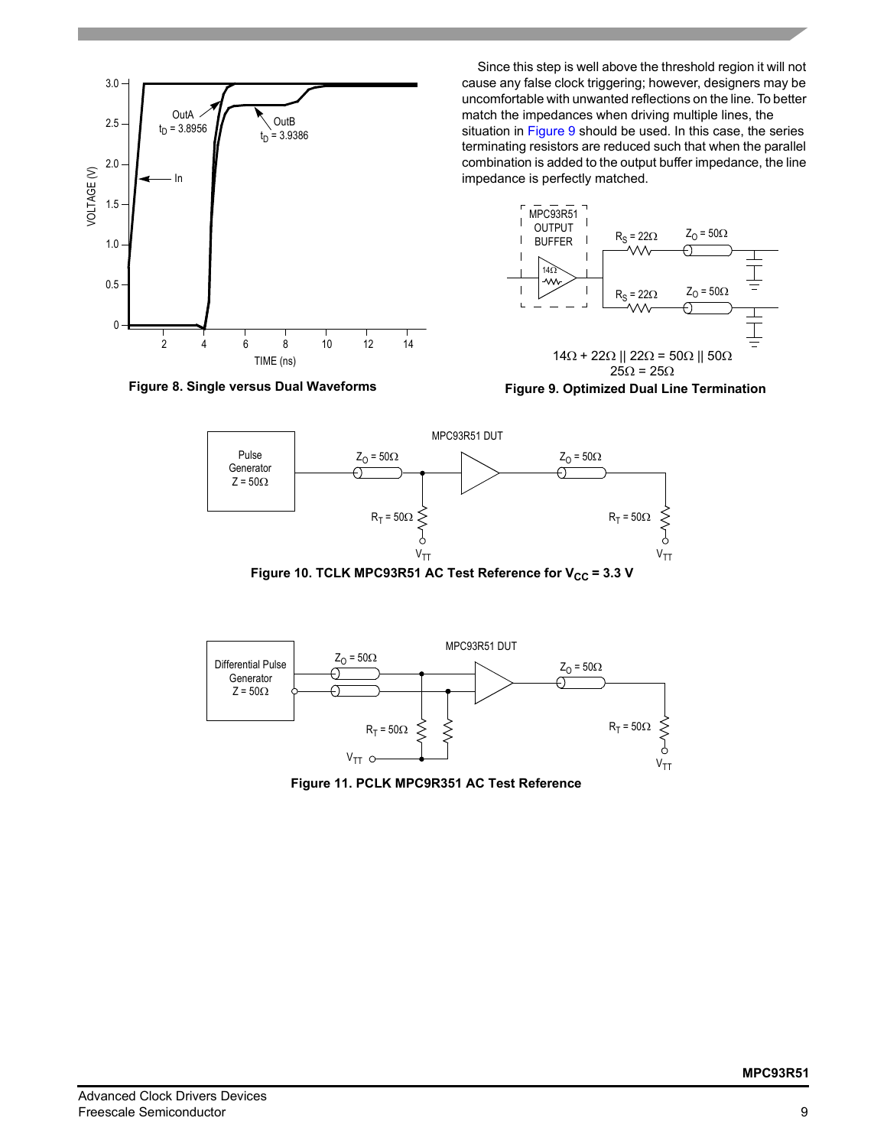

Since this step is well above the threshold region it will not cause any false clock triggering; however, designers may be uncomfortable with unwanted reflections on the line. To better match the impedances when driving multiple lines, the situation in [Figure 9](#page-8-1) should be used. In this case, the series

terminating resistors are reduced such that when the parallel combination is added to the output buffer impedance, the line impedance is perfectly matched.



<span id="page-8-1"></span>**Figure 9. Optimized Dual Line Termination**

<span id="page-8-0"></span>

Figure 10. TCLK MPC93R51 AC Test Reference for V<sub>CC</sub> = 3.3 V



**Figure 11. PCLK MPC9R351 AC Test Reference**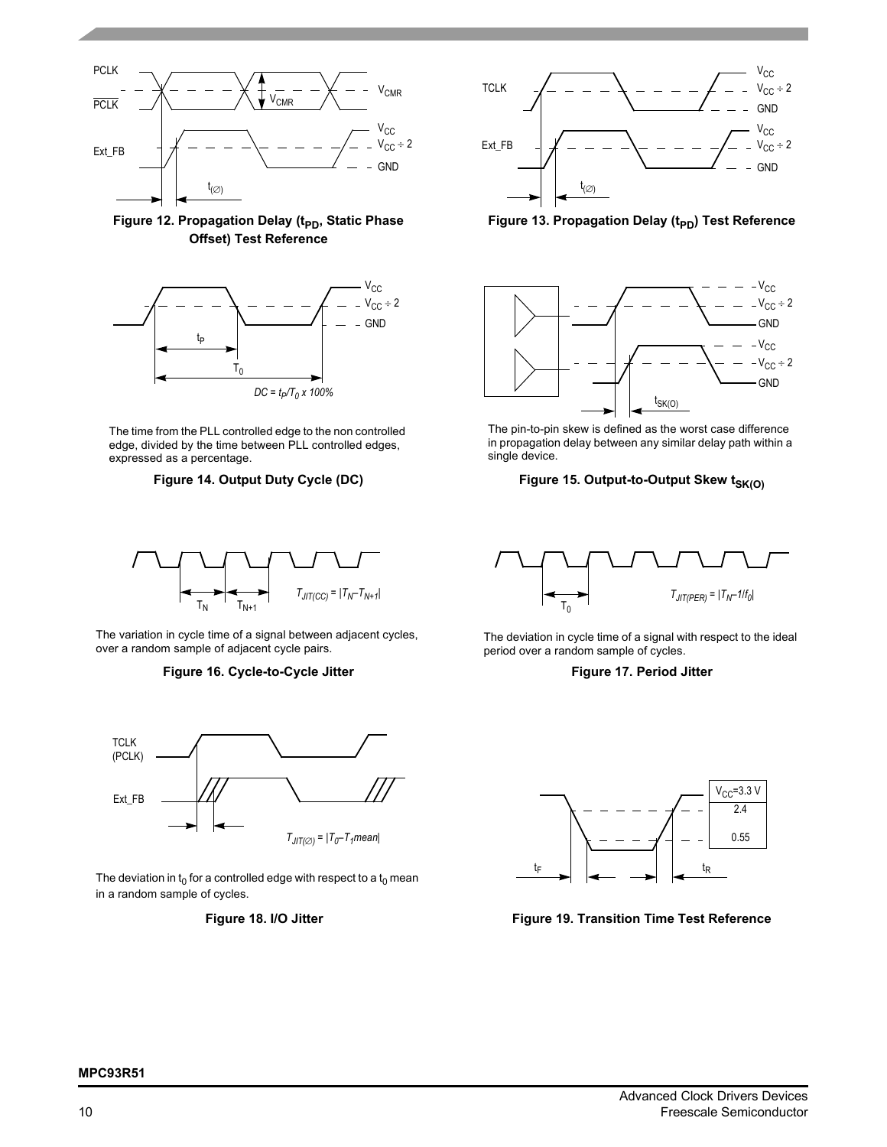





The time from the PLL controlled edge to the non controlled edge, divided by the time between PLL controlled edges, expressed as a percentage.



The variation in cycle time of a signal between adjacent cycles, over a random sample of adjacent cycle pairs.

#### **Figure 16. Cycle-to-Cycle Jitter**



The deviation in  $t_0$  for a controlled edge with respect to a  $t_0$  mean in a random sample of cycles.





Figure 13. Propagation Delay (t<sub>PD</sub>) Test Reference



The pin-to-pin skew is defined as the worst case difference in propagation delay between any similar delay path within a single device.

### Figure 14. Output Duty Cycle (DC) Figure 15. Output-to-Output Skew t<sub>SK(O)</sub>



The deviation in cycle time of a signal with respect to the ideal period over a random sample of cycles.

#### **Figure 17. Period Jitter**



Figure 18. I/O Jitter **Figure 19. Transition Time Test Reference** 

#### **MPC93R51**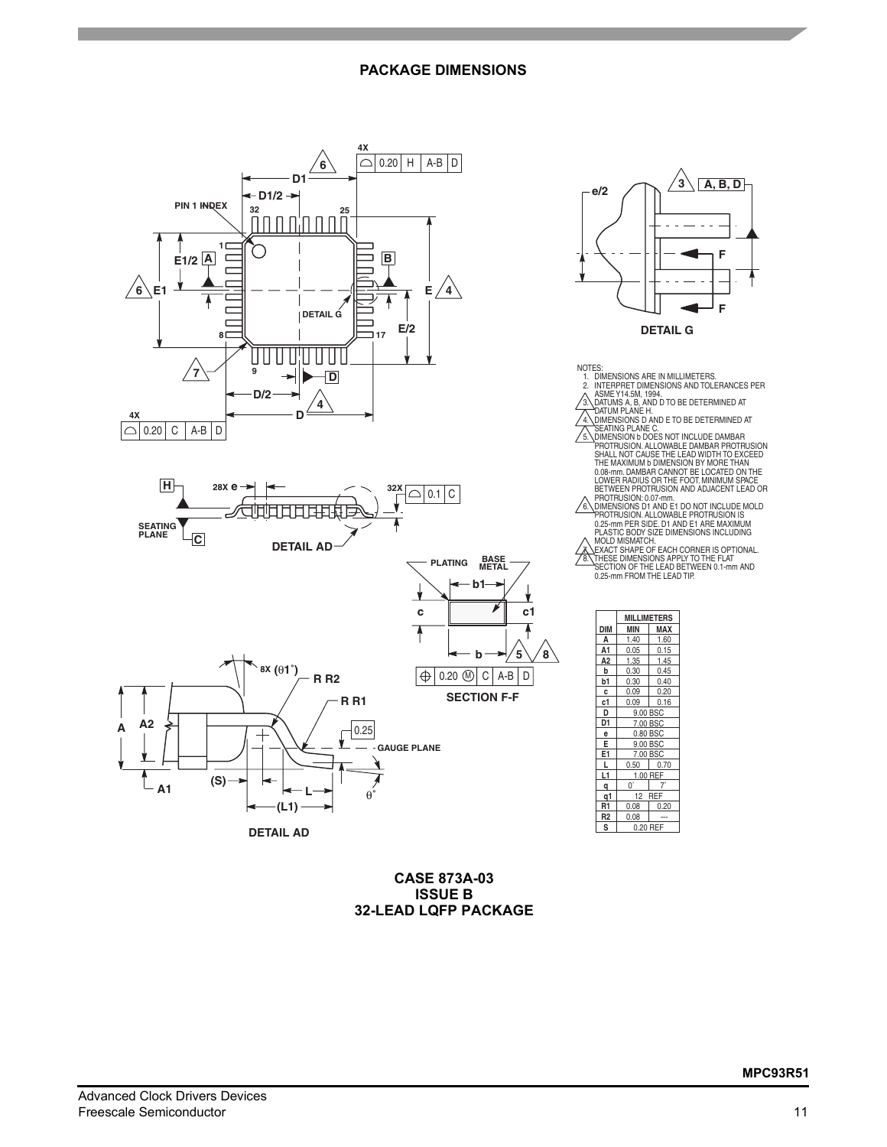# **PACKAGE DIMENSIONS**



**CASE 873A-03 ISSUE B 32-LEAD LQFP PACKAGE** **F**